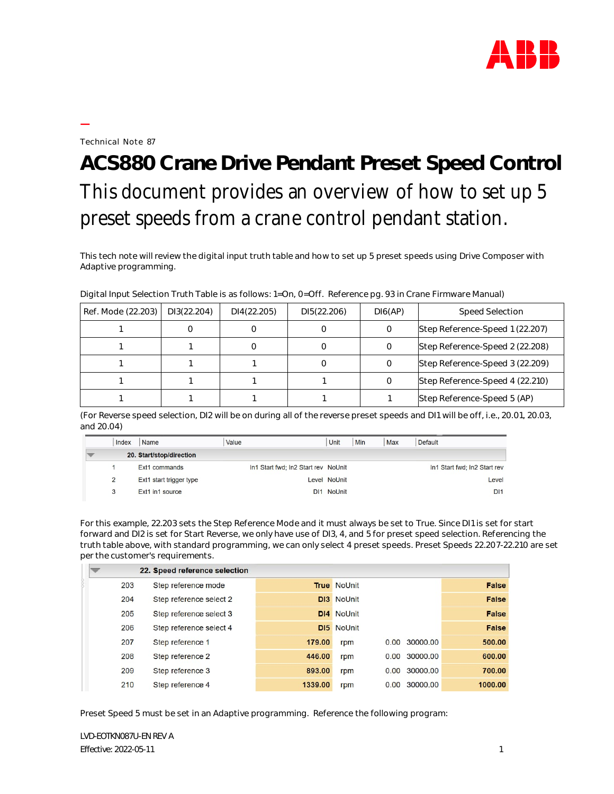

Technical Note 87

**—**

## **ACS880 Crane Drive Pendant Preset Speed Control** This document provides an overview of how to set up 5 preset speeds from a crane control pendant station.

This tech note will review the digital input truth table and how to set up 5 preset speeds using Drive Composer with Adaptive programming.

| Ref. Mode (22.203) | DI3(22.204) | DI4(22.205) | DI5(22.206) | DI6(AP) | Speed Selection                 |
|--------------------|-------------|-------------|-------------|---------|---------------------------------|
|                    |             |             |             |         | Step Reference-Speed 1 (22.207) |
|                    |             |             |             |         | Step Reference-Speed 2 (22.208) |
|                    |             |             |             |         | Step Reference-Speed 3 (22.209) |
|                    |             |             |             |         | Step Reference-Speed 4 (22.210) |
|                    |             |             |             |         | Step Reference-Speed 5 (AP)     |

Digital Input Selection Truth Table is as follows: 1=On, 0=Off. Reference pg. 93 in Crane Firmware Manual)

(For Reverse speed selection, DI2 will be on during all of the reverse preset speeds and DI1 will be off, i.e., 20.01, 20.03, and 20.04)

| Index | Name                     | Value |                                     | Unit         | Min | <b>Max</b> | Default                      |
|-------|--------------------------|-------|-------------------------------------|--------------|-----|------------|------------------------------|
|       | 20. Start/stop/direction |       |                                     |              |     |            |                              |
|       | Ext1 commands            |       | In1 Start fwd; In2 Start rev NoUnit |              |     |            | In1 Start fwd; In2 Start rev |
| 2     | Ext1 start trigger type  |       |                                     | Level NoUnit |     |            | Level                        |
| 3     | Ext1 in1 source          |       |                                     | DI1 NoUnit   |     |            | D <sub>11</sub>              |

For this example, 22.203 sets the Step Reference Mode and it must always be set to True. Since DI1 is set for start forward and DI2 is set for Start Reverse, we only have use of DI3, 4, and 5 for preset speed selection. Referencing the truth table above, with standard programming, we can only select 4 preset speeds. Preset Speeds 22.207-22.210 are set per the customer's requirements.

|     | 22. Speed reference selection |         |                    |      |               |              |
|-----|-------------------------------|---------|--------------------|------|---------------|--------------|
| 203 | Step reference mode           |         | <b>True NoUnit</b> |      |               | False        |
| 204 | Step reference select 2       |         | <b>DI3</b> NoUnit  |      |               | False        |
| 205 | Step reference select 3       |         | <b>DI4 NoUnit</b>  |      |               | False        |
| 206 | Step reference select 4       |         | <b>DI5</b> NoUnit  |      |               | <b>False</b> |
| 207 | Step reference 1              | 179.00  | rpm                |      | 0.00 30000.00 | 500,00       |
| 208 | Step reference 2              | 446.00  | rpm                | 0.00 | 30000.00      | 600.00       |
| 209 | Step reference 3              | 893.00  | rpm                |      | 0.00 30000.00 | 700.00       |
| 210 | Step reference 4              | 1339.00 | rpm                |      | 0.00 30000.00 | 1000.00      |

Preset Speed 5 must be set in an Adaptive programming. Reference the following program: